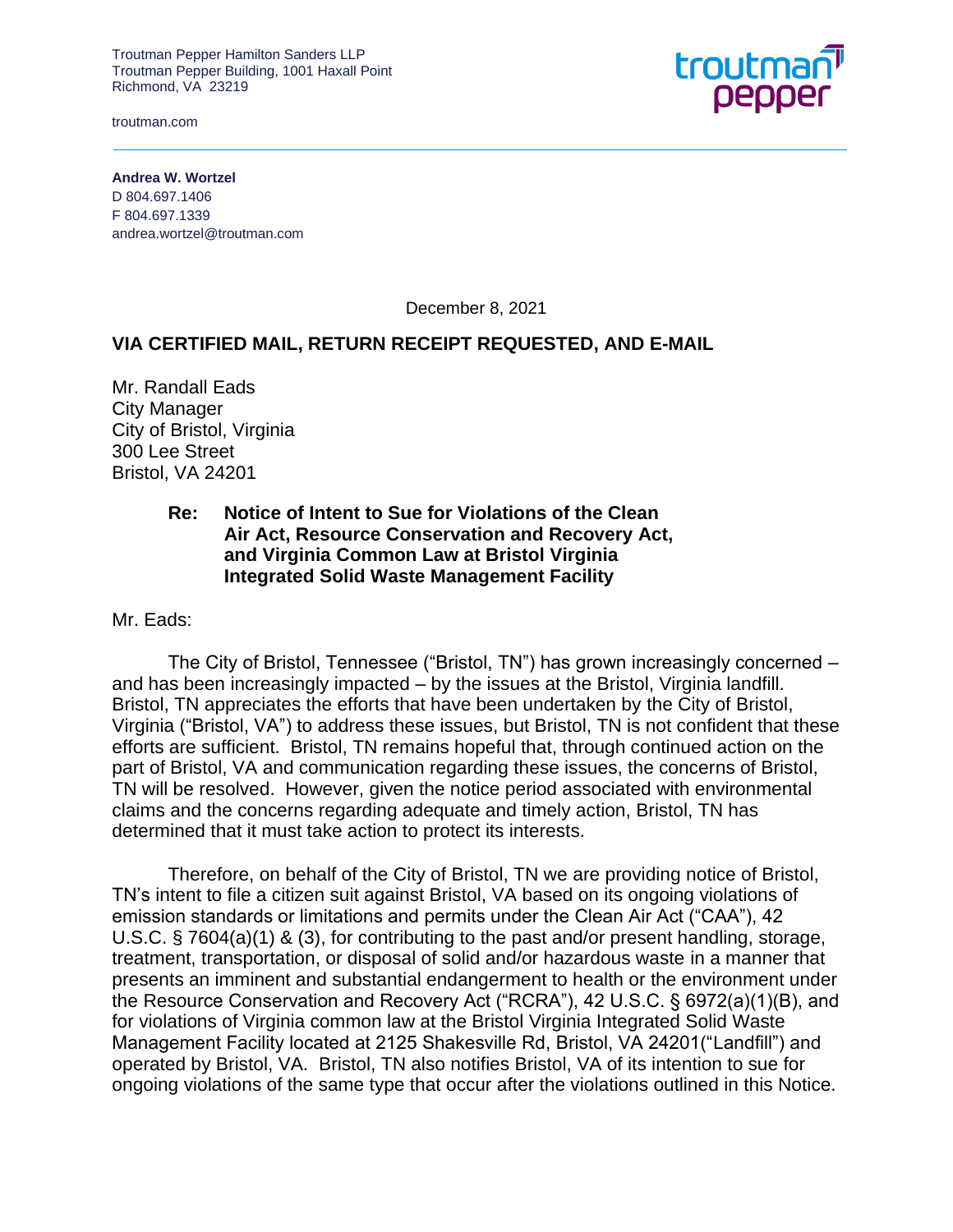troutman.com



**Andrea W. Wortzel** D 804.697.1406 F 804.697.1339 andrea.wortzel@troutman.com

December 8, 2021

#### **VIA CERTIFIED MAIL, RETURN RECEIPT REQUESTED, AND E-MAIL**

Mr. Randall Eads City Manager City of Bristol, Virginia 300 Lee Street Bristol, VA 24201

#### **Re: Notice of Intent to Sue for Violations of the Clean Air Act, Resource Conservation and Recovery Act, and Virginia Common Law at Bristol Virginia Integrated Solid Waste Management Facility**

Mr. Eads:

The City of Bristol, Tennessee ("Bristol, TN") has grown increasingly concerned – and has been increasingly impacted – by the issues at the Bristol, Virginia landfill. Bristol, TN appreciates the efforts that have been undertaken by the City of Bristol, Virginia ("Bristol, VA") to address these issues, but Bristol, TN is not confident that these efforts are sufficient. Bristol, TN remains hopeful that, through continued action on the part of Bristol, VA and communication regarding these issues, the concerns of Bristol, TN will be resolved. However, given the notice period associated with environmental claims and the concerns regarding adequate and timely action, Bristol, TN has determined that it must take action to protect its interests.

Therefore, on behalf of the City of Bristol, TN we are providing notice of Bristol, TN's intent to file a citizen suit against Bristol, VA based on its ongoing violations of emission standards or limitations and permits under the Clean Air Act ("CAA"), 42 U.S.C. § 7604(a)(1) & (3), for contributing to the past and/or present handling, storage, treatment, transportation, or disposal of solid and/or hazardous waste in a manner that presents an imminent and substantial endangerment to health or the environment under the Resource Conservation and Recovery Act ("RCRA"), 42 U.S.C. § 6972(a)(1)(B), and for violations of Virginia common law at the Bristol Virginia Integrated Solid Waste Management Facility located at 2125 Shakesville Rd, Bristol, VA 24201("Landfill") and operated by Bristol, VA. Bristol, TN also notifies Bristol, VA of its intention to sue for ongoing violations of the same type that occur after the violations outlined in this Notice.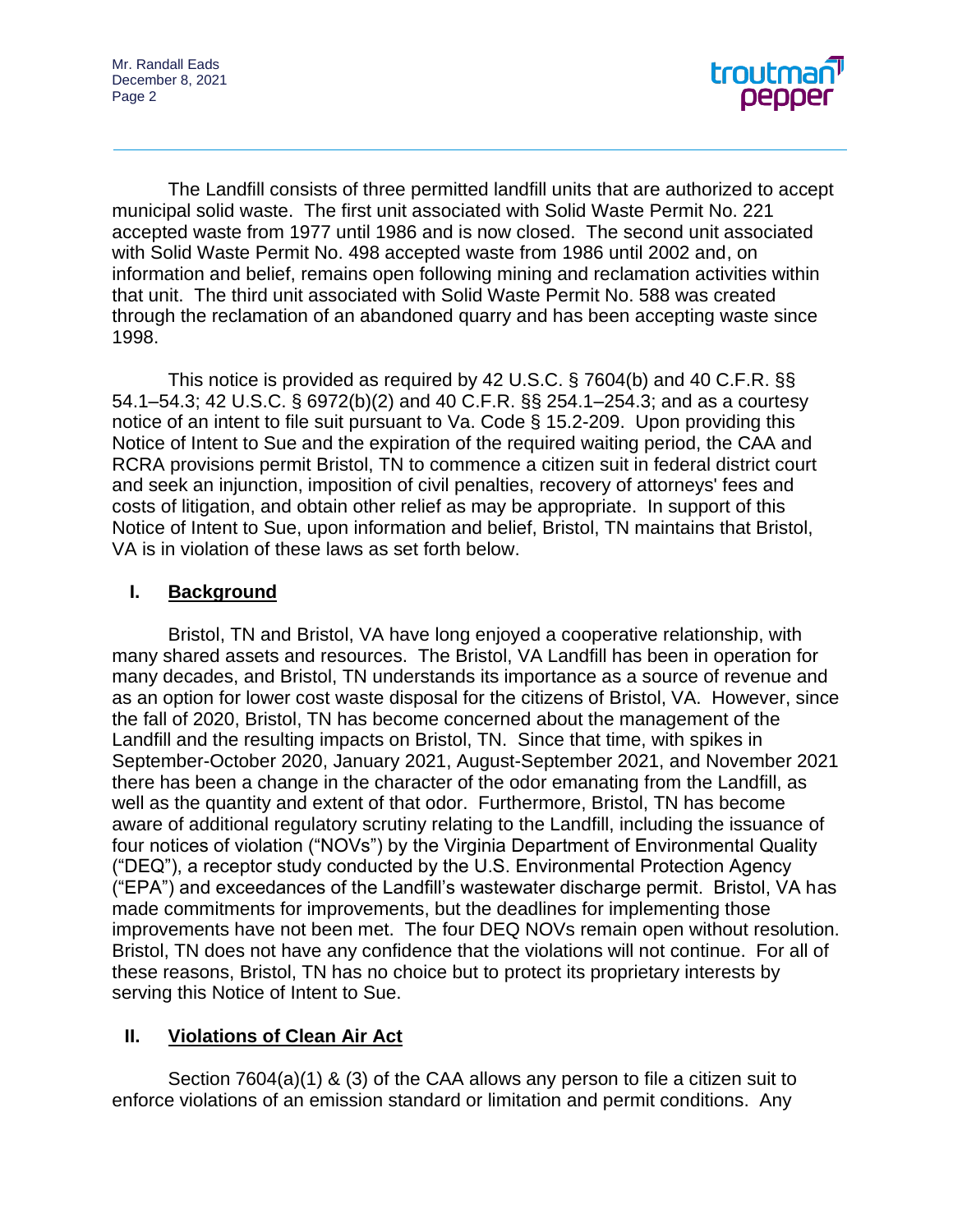

The Landfill consists of three permitted landfill units that are authorized to accept municipal solid waste. The first unit associated with Solid Waste Permit No. 221 accepted waste from 1977 until 1986 and is now closed. The second unit associated with Solid Waste Permit No. 498 accepted waste from 1986 until 2002 and, on information and belief, remains open following mining and reclamation activities within that unit. The third unit associated with Solid Waste Permit No. 588 was created through the reclamation of an abandoned quarry and has been accepting waste since 1998.

This notice is provided as required by 42 U.S.C. § 7604(b) and 40 C.F.R. §§ 54.1–54.3; 42 U.S.C. § 6972(b)(2) and 40 C.F.R. §§ 254.1–254.3; and as a courtesy notice of an intent to file suit pursuant to Va. Code § 15.2-209. Upon providing this Notice of Intent to Sue and the expiration of the required waiting period, the CAA and RCRA provisions permit Bristol, TN to commence a citizen suit in federal district court and seek an injunction, imposition of civil penalties, recovery of attorneys' fees and costs of litigation, and obtain other relief as may be appropriate. In support of this Notice of Intent to Sue, upon information and belief, Bristol, TN maintains that Bristol, VA is in violation of these laws as set forth below.

#### **I. Background**

Bristol, TN and Bristol, VA have long enjoyed a cooperative relationship, with many shared assets and resources. The Bristol, VA Landfill has been in operation for many decades, and Bristol, TN understands its importance as a source of revenue and as an option for lower cost waste disposal for the citizens of Bristol, VA. However, since the fall of 2020, Bristol, TN has become concerned about the management of the Landfill and the resulting impacts on Bristol, TN. Since that time, with spikes in September-October 2020, January 2021, August-September 2021, and November 2021 there has been a change in the character of the odor emanating from the Landfill, as well as the quantity and extent of that odor. Furthermore, Bristol, TN has become aware of additional regulatory scrutiny relating to the Landfill, including the issuance of four notices of violation ("NOVs") by the Virginia Department of Environmental Quality ("DEQ"), a receptor study conducted by the U.S. Environmental Protection Agency ("EPA") and exceedances of the Landfill's wastewater discharge permit. Bristol, VA has made commitments for improvements, but the deadlines for implementing those improvements have not been met. The four DEQ NOVs remain open without resolution. Bristol, TN does not have any confidence that the violations will not continue. For all of these reasons, Bristol, TN has no choice but to protect its proprietary interests by serving this Notice of Intent to Sue.

## **II. Violations of Clean Air Act**

Section 7604(a)(1) & (3) of the CAA allows any person to file a citizen suit to enforce violations of an emission standard or limitation and permit conditions. Any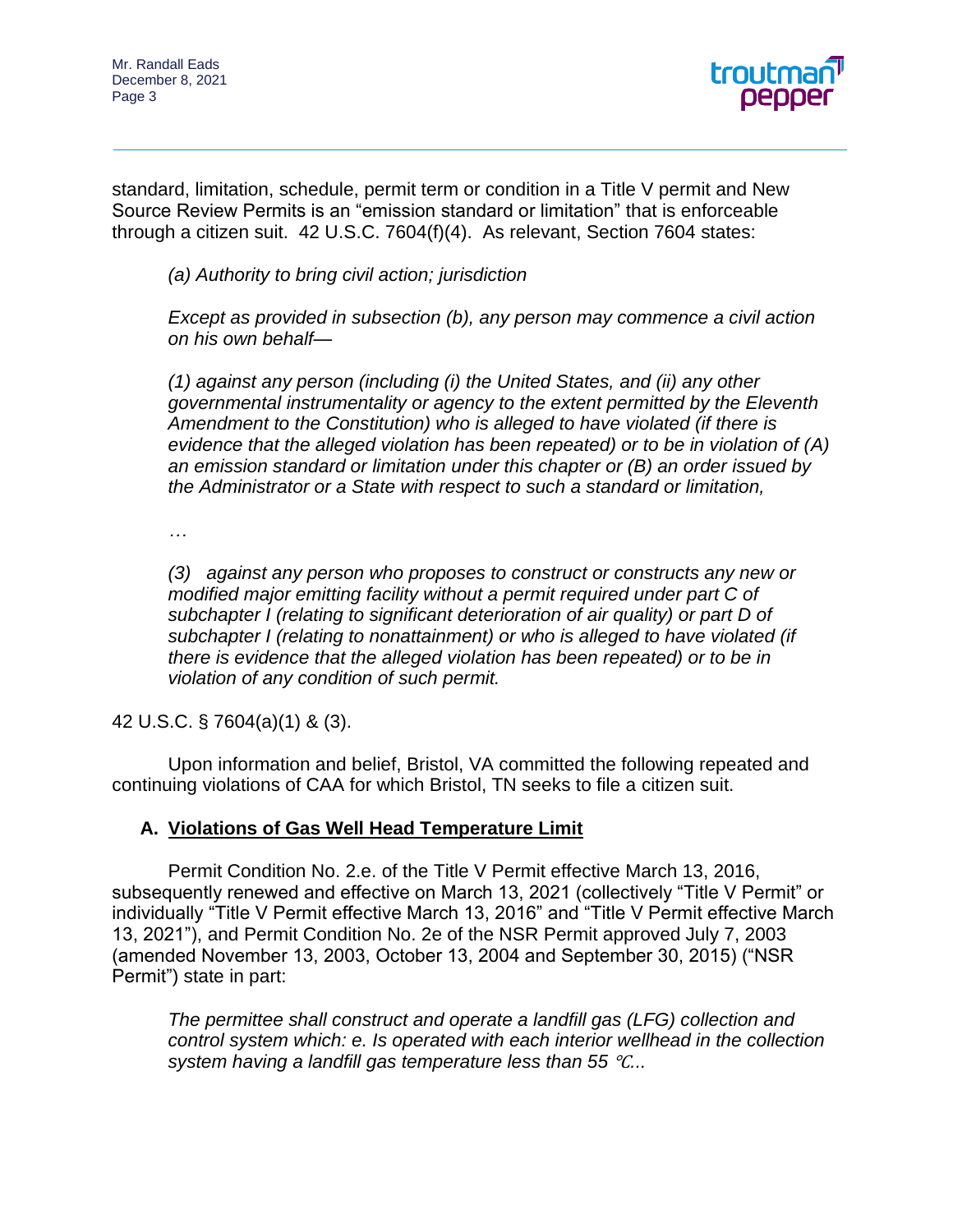

standard, limitation, schedule, permit term or condition in a Title V permit and New Source Review Permits is an "emission standard or limitation" that is enforceable through a citizen suit. 42 U.S.C. 7604(f)(4). As relevant, Section 7604 states:

*(a) Authority to bring civil action; jurisdiction*

*Except as provided in subsection (b), any person may commence a civil action on his own behalf—*

*(1) against any person (including (i) the United States, and (ii) any other governmental instrumentality or agency to the extent permitted by the Eleventh Amendment to the Constitution) who is alleged to have violated (if there is evidence that the alleged violation has been repeated) or to be in violation of (A) an emission standard or limitation under this chapter or (B) an order issued by the Administrator or a State with respect to such a standard or limitation,*

*…*

*(3) against any person who proposes to construct or constructs any new or modified major emitting facility without a permit required under part C of subchapter I (relating to significant deterioration of air quality) or part D of subchapter I (relating to nonattainment) or who is alleged to have violated (if there is evidence that the alleged violation has been repeated) or to be in violation of any condition of such permit.*

42 U.S.C. § 7604(a)(1) & (3).

Upon information and belief, Bristol, VA committed the following repeated and continuing violations of CAA for which Bristol, TN seeks to file a citizen suit.

## **A. Violations of Gas Well Head Temperature Limit**

Permit Condition No. 2.e. of the Title V Permit effective March 13, 2016, subsequently renewed and effective on March 13, 2021 (collectively "Title V Permit" or individually "Title V Permit effective March 13, 2016" and "Title V Permit effective March 13, 2021"), and Permit Condition No. 2e of the NSR Permit approved July 7, 2003 (amended November 13, 2003, October 13, 2004 and September 30, 2015) ("NSR Permit") state in part:

*The permittee shall construct and operate a landfill gas (LFG) collection and control system which: e. Is operated with each interior wellhead in the collection system having a landfill gas temperature less than 55* ℃*...*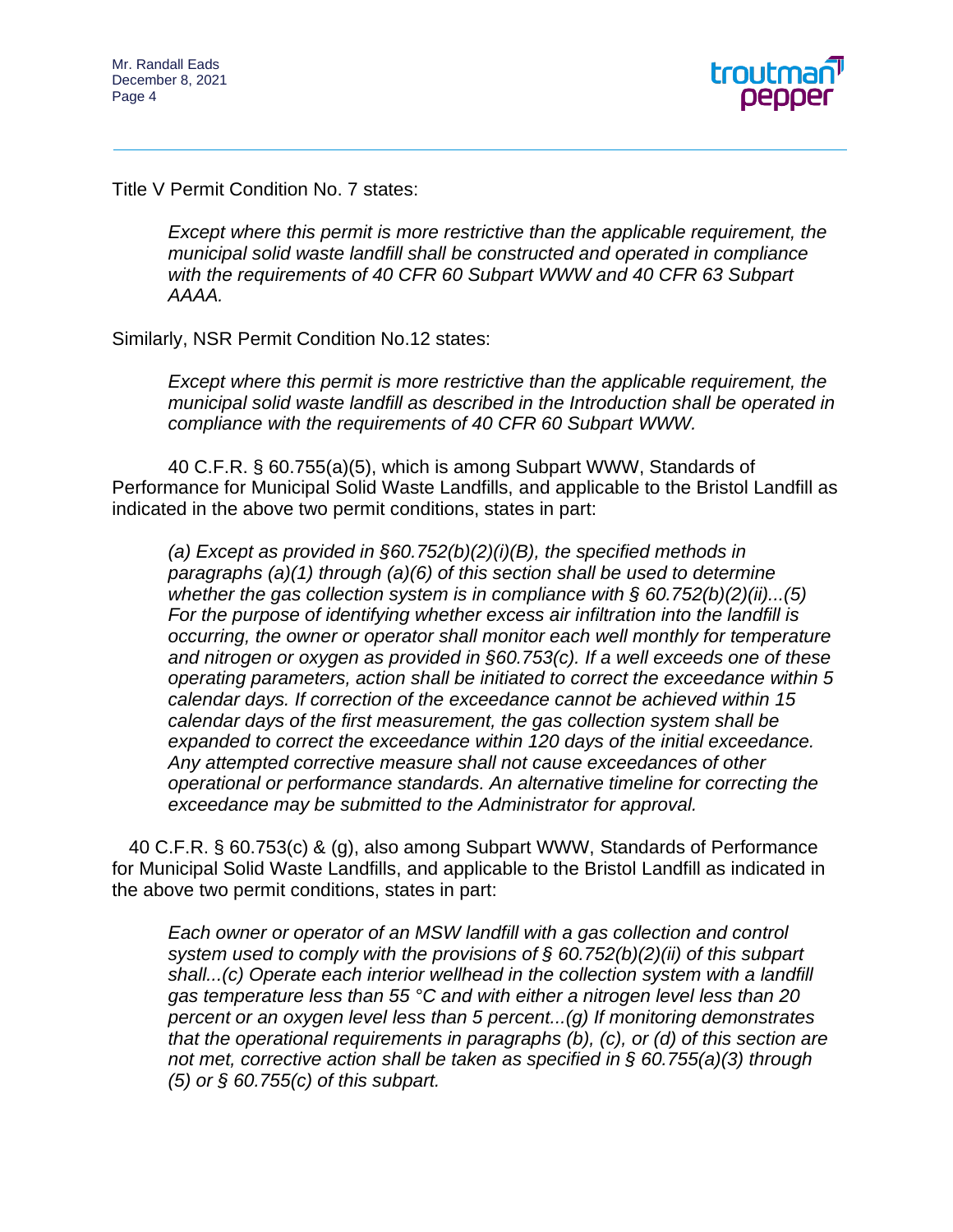

Title V Permit Condition No. 7 states:

*Except where this permit is more restrictive than the applicable requirement, the municipal solid waste landfill shall be constructed and operated in compliance with the requirements of 40 CFR 60 Subpart WWW and 40 CFR 63 Subpart AAAA.*

Similarly, NSR Permit Condition No.12 states:

*Except where this permit is more restrictive than the applicable requirement, the municipal solid waste landfill as described in the Introduction shall be operated in compliance with the requirements of 40 CFR 60 Subpart WWW.*

40 C.F.R. § 60.755(a)(5), which is among Subpart WWW, Standards of Performance for Municipal Solid Waste Landfills, and applicable to the Bristol Landfill as indicated in the above two permit conditions, states in part:

*(a) Except as provided in §60.752(b)(2)(i)(B), the specified methods in paragraphs (a)(1) through (a)(6) of this section shall be used to determine whether the gas collection system is in compliance with § 60.752(b)(2)(ii)...(5) For the purpose of identifying whether excess air infiltration into the landfill is occurring, the owner or operator shall monitor each well monthly for temperature and nitrogen or oxygen as provided in §60.753(c). If a well exceeds one of these operating parameters, action shall be initiated to correct the exceedance within 5 calendar days. If correction of the exceedance cannot be achieved within 15 calendar days of the first measurement, the gas collection system shall be expanded to correct the exceedance within 120 days of the initial exceedance. Any attempted corrective measure shall not cause exceedances of other operational or performance standards. An alternative timeline for correcting the exceedance may be submitted to the Administrator for approval.*

40 C.F.R. § 60.753(c) & (g), also among Subpart WWW, Standards of Performance for Municipal Solid Waste Landfills, and applicable to the Bristol Landfill as indicated in the above two permit conditions, states in part:

*Each owner or operator of an MSW landfill with a gas collection and control system used to comply with the provisions of § 60.752(b)(2)(ii) of this subpart shall...(c) Operate each interior wellhead in the collection system with a landfill gas temperature less than 55 °C and with either a nitrogen level less than 20 percent or an oxygen level less than 5 percent...(g) If monitoring demonstrates that the operational requirements in paragraphs (b), (c), or (d) of this section are not met, corrective action shall be taken as specified in § 60.755(a)(3) through (5) or § 60.755(c) of this subpart.*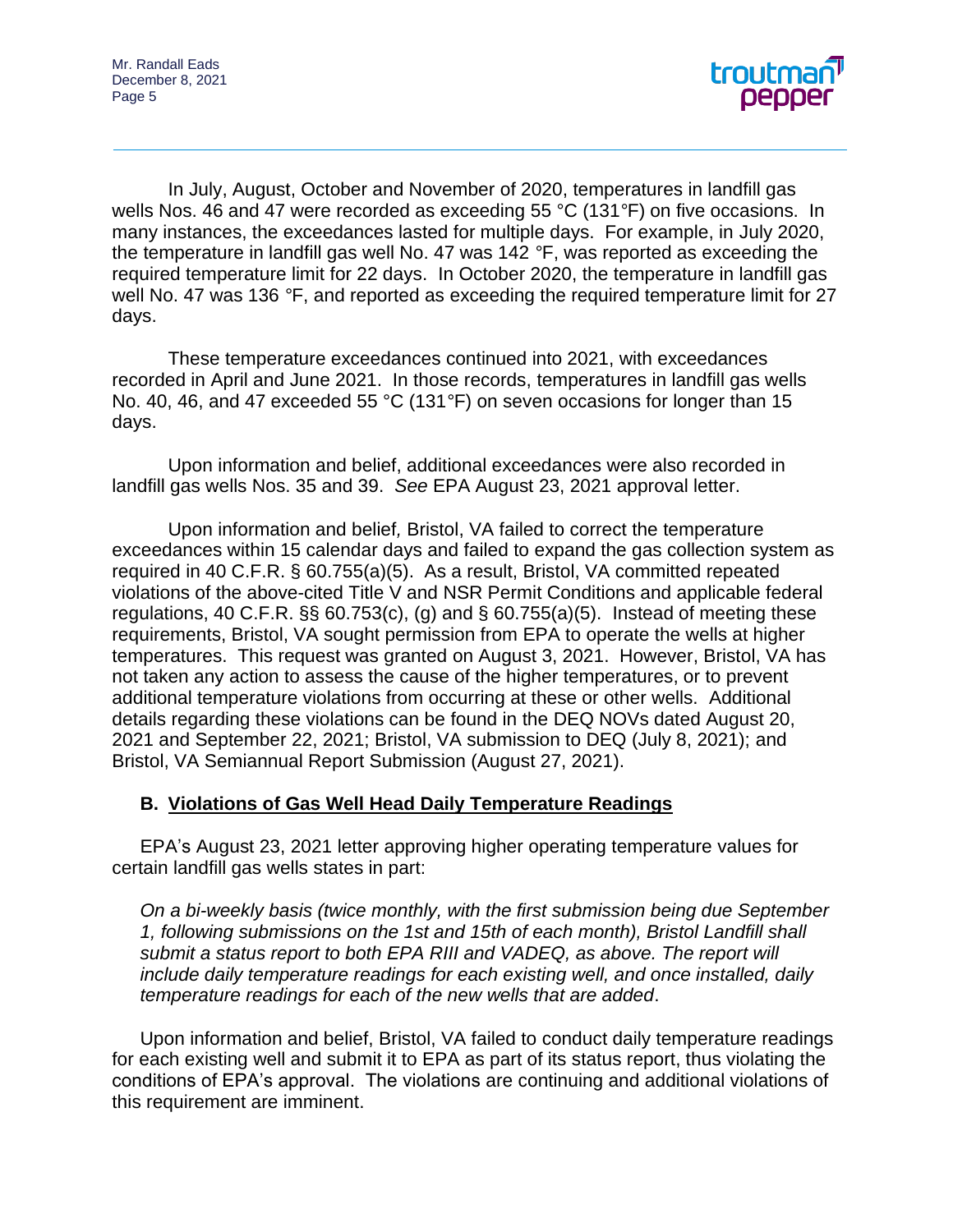

In July, August, October and November of 2020, temperatures in landfill gas wells Nos. 46 and 47 were recorded as exceeding 55 °C (131*°*F) on five occasions. In many instances, the exceedances lasted for multiple days. For example, in July 2020, the temperature in landfill gas well No. 47 was 142 *°*F, was reported as exceeding the required temperature limit for 22 days. In October 2020, the temperature in landfill gas well No. 47 was 136 *°*F, and reported as exceeding the required temperature limit for 27 days.

These temperature exceedances continued into 2021, with exceedances recorded in April and June 2021. In those records, temperatures in landfill gas wells No. 40, 46, and 47 exceeded 55 °C (131*°*F) on seven occasions for longer than 15 days.

Upon information and belief, additional exceedances were also recorded in landfill gas wells Nos. 35 and 39. *See* EPA August 23, 2021 approval letter.

Upon information and belief*,* Bristol, VA failed to correct the temperature exceedances within 15 calendar days and failed to expand the gas collection system as required in 40 C.F.R. § 60.755(a)(5). As a result, Bristol, VA committed repeated violations of the above-cited Title V and NSR Permit Conditions and applicable federal regulations, 40 C.F.R.  $\S$ § 60.753(c), (g) and § 60.755(a)(5). Instead of meeting these requirements, Bristol, VA sought permission from EPA to operate the wells at higher temperatures. This request was granted on August 3, 2021. However, Bristol, VA has not taken any action to assess the cause of the higher temperatures, or to prevent additional temperature violations from occurring at these or other wells. Additional details regarding these violations can be found in the DEQ NOVs dated August 20, 2021 and September 22, 2021; Bristol, VA submission to DEQ (July 8, 2021); and Bristol, VA Semiannual Report Submission (August 27, 2021).

## **B. Violations of Gas Well Head Daily Temperature Readings**

EPA's August 23, 2021 letter approving higher operating temperature values for certain landfill gas wells states in part:

*On a bi-weekly basis (twice monthly, with the first submission being due September 1, following submissions on the 1st and 15th of each month), Bristol Landfill shall submit a status report to both EPA RIII and VADEQ, as above. The report will include daily temperature readings for each existing well, and once installed, daily temperature readings for each of the new wells that are added*.

Upon information and belief, Bristol, VA failed to conduct daily temperature readings for each existing well and submit it to EPA as part of its status report, thus violating the conditions of EPA's approval. The violations are continuing and additional violations of this requirement are imminent.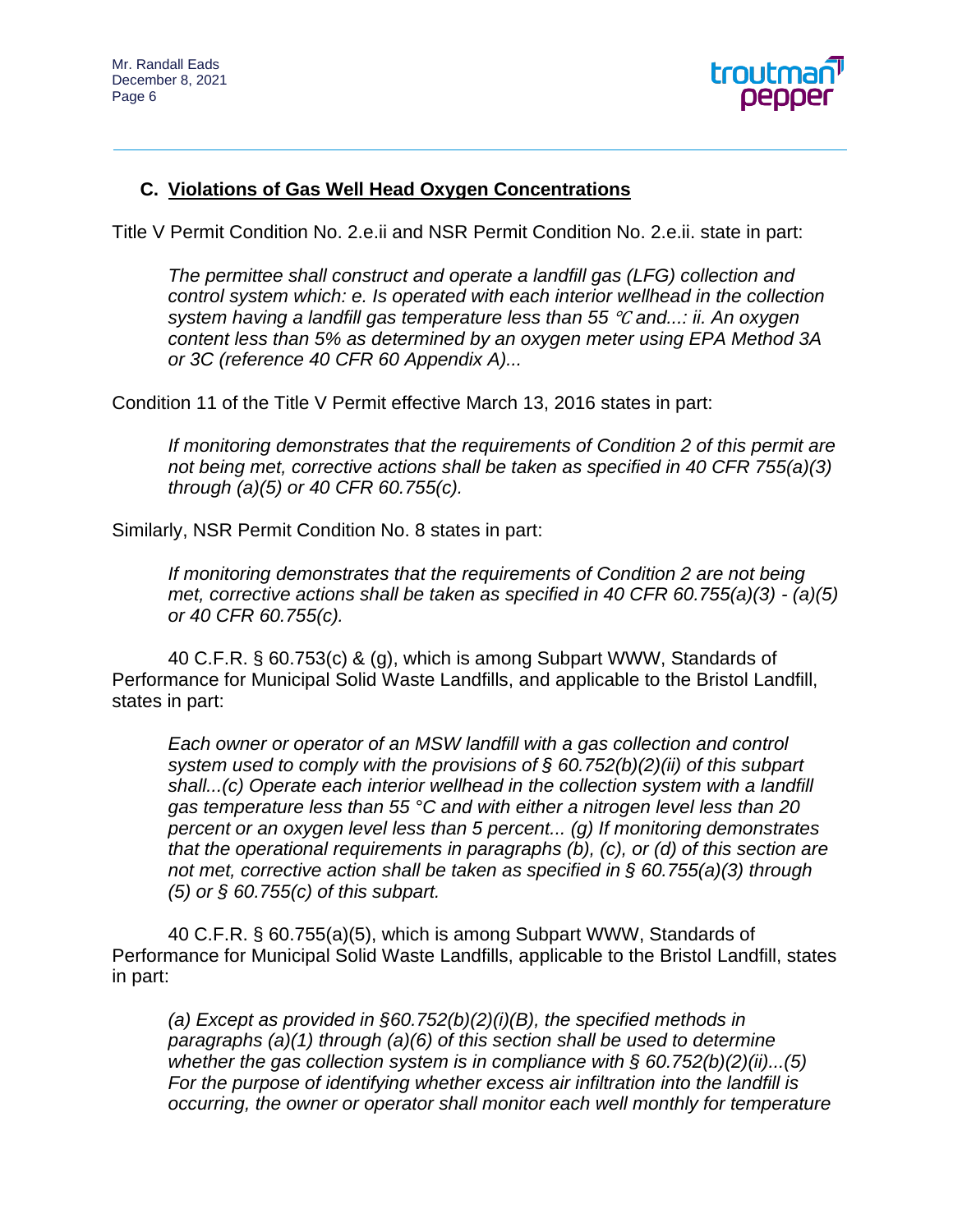

# **C. Violations of Gas Well Head Oxygen Concentrations**

Title V Permit Condition No. 2.e.ii and NSR Permit Condition No. 2.e.ii. state in part:

*The permittee shall construct and operate a landfill gas (LFG) collection and control system which: e. Is operated with each interior wellhead in the collection system having a landfill gas temperature less than 55* ℃ *and...: ii. An oxygen content less than 5% as determined by an oxygen meter using EPA Method 3A or 3C (reference 40 CFR 60 Appendix A)...* 

Condition 11 of the Title V Permit effective March 13, 2016 states in part:

*If monitoring demonstrates that the requirements of Condition 2 of this permit are not being met, corrective actions shall be taken as specified in 40 CFR 755(a)(3) through (a)(5) or 40 CFR 60.755(c).* 

Similarly, NSR Permit Condition No. 8 states in part:

*If monitoring demonstrates that the requirements of Condition 2 are not being met, corrective actions shall be taken as specified in 40 CFR 60.755(a)(3) - (a)(5) or 40 CFR 60.755(c).*

40 C.F.R. § 60.753(c) & (g), which is among Subpart WWW, Standards of Performance for Municipal Solid Waste Landfills, and applicable to the Bristol Landfill, states in part:

*Each owner or operator of an MSW landfill with a gas collection and control system used to comply with the provisions of § 60.752(b)(2)(ii) of this subpart shall...(c) Operate each interior wellhead in the collection system with a landfill gas temperature less than 55 °C and with either a nitrogen level less than 20 percent or an oxygen level less than 5 percent... (g) If monitoring demonstrates that the operational requirements in paragraphs (b), (c), or (d) of this section are not met, corrective action shall be taken as specified in § 60.755(a)(3) through (5) or § 60.755(c) of this subpart.*

40 C.F.R. § 60.755(a)(5), which is among Subpart WWW, Standards of Performance for Municipal Solid Waste Landfills, applicable to the Bristol Landfill, states in part:

*(a) Except as provided in §60.752(b)(2)(i)(B), the specified methods in paragraphs (a)(1) through (a)(6) of this section shall be used to determine whether the gas collection system is in compliance with § 60.752(b)(2)(ii)...(5) For the purpose of identifying whether excess air infiltration into the landfill is occurring, the owner or operator shall monitor each well monthly for temperature*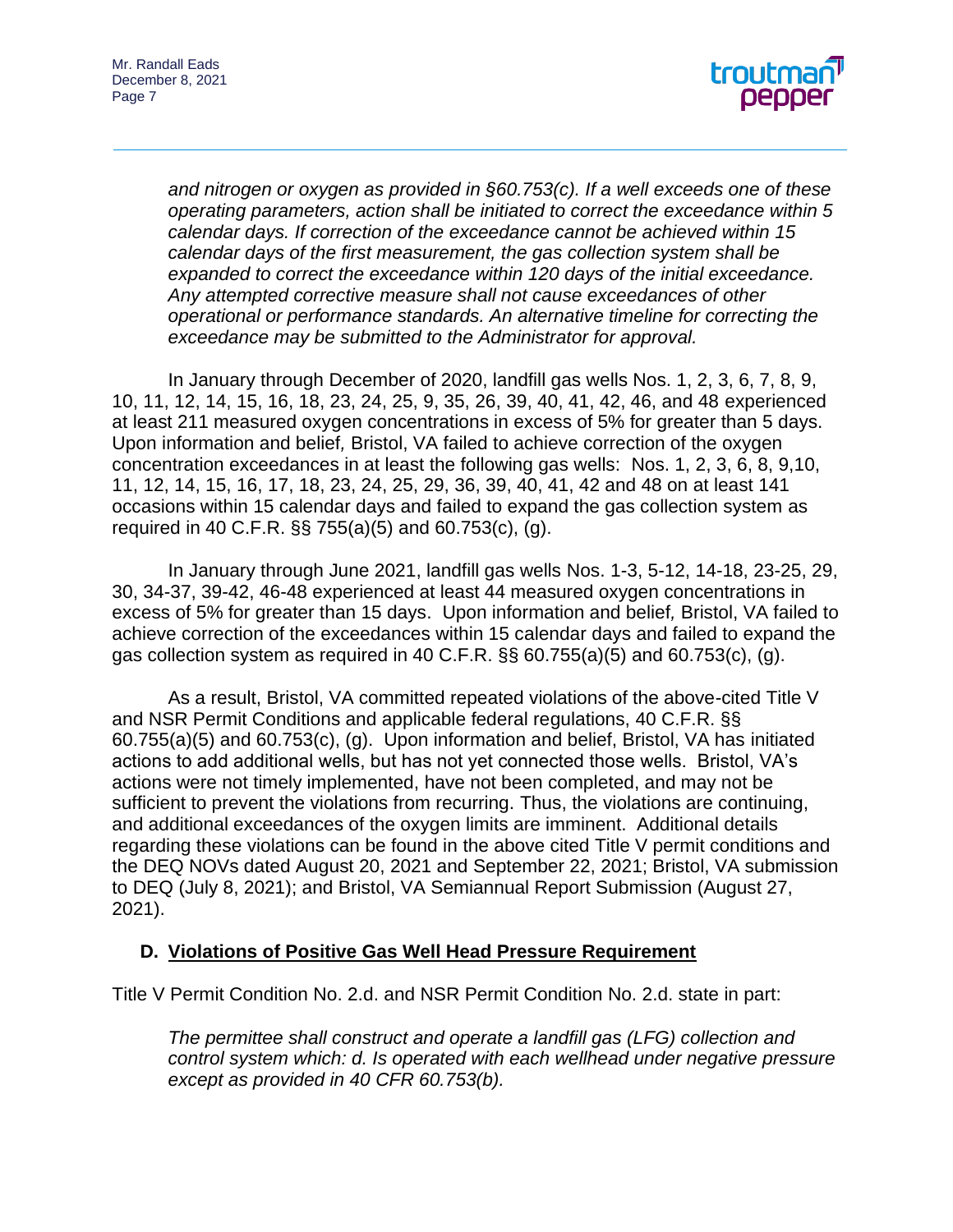

*and nitrogen or oxygen as provided in §60.753(c). If a well exceeds one of these operating parameters, action shall be initiated to correct the exceedance within 5 calendar days. If correction of the exceedance cannot be achieved within 15 calendar days of the first measurement, the gas collection system shall be expanded to correct the exceedance within 120 days of the initial exceedance. Any attempted corrective measure shall not cause exceedances of other operational or performance standards. An alternative timeline for correcting the exceedance may be submitted to the Administrator for approval.*

In January through December of 2020, landfill gas wells Nos. 1, 2, 3, 6, 7, 8, 9, 10, 11, 12, 14, 15, 16, 18, 23, 24, 25, 9, 35, 26, 39, 40, 41, 42, 46, and 48 experienced at least 211 measured oxygen concentrations in excess of 5% for greater than 5 days. Upon information and belief*,* Bristol, VA failed to achieve correction of the oxygen concentration exceedances in at least the following gas wells: Nos. 1, 2, 3, 6, 8, 9,10, 11, 12, 14, 15, 16, 17, 18, 23, 24, 25, 29, 36, 39, 40, 41, 42 and 48 on at least 141 occasions within 15 calendar days and failed to expand the gas collection system as required in 40 C.F.R. §§ 755(a)(5) and 60.753(c), (g).

In January through June 2021, landfill gas wells Nos. 1-3, 5-12, 14-18, 23-25, 29, 30, 34-37, 39-42, 46-48 experienced at least 44 measured oxygen concentrations in excess of 5% for greater than 15 days. Upon information and belief*,* Bristol, VA failed to achieve correction of the exceedances within 15 calendar days and failed to expand the gas collection system as required in 40 C.F.R.  $\S$  $\S$  $60.755(a)(5)$  and  $60.753(c)$ , (q).

As a result, Bristol, VA committed repeated violations of the above-cited Title V and NSR Permit Conditions and applicable federal regulations, 40 C.F.R. §§ 60.755(a)(5) and 60.753(c), (g). Upon information and belief, Bristol, VA has initiated actions to add additional wells, but has not yet connected those wells. Bristol, VA's actions were not timely implemented, have not been completed, and may not be sufficient to prevent the violations from recurring. Thus, the violations are continuing, and additional exceedances of the oxygen limits are imminent. Additional details regarding these violations can be found in the above cited Title V permit conditions and the DEQ NOVs dated August 20, 2021 and September 22, 2021; Bristol, VA submission to DEQ (July 8, 2021); and Bristol, VA Semiannual Report Submission (August 27, 2021).

## **D. Violations of Positive Gas Well Head Pressure Requirement**

Title V Permit Condition No. 2.d. and NSR Permit Condition No. 2.d. state in part:

*The permittee shall construct and operate a landfill gas (LFG) collection and control system which: d. Is operated with each wellhead under negative pressure except as provided in 40 CFR 60.753(b).*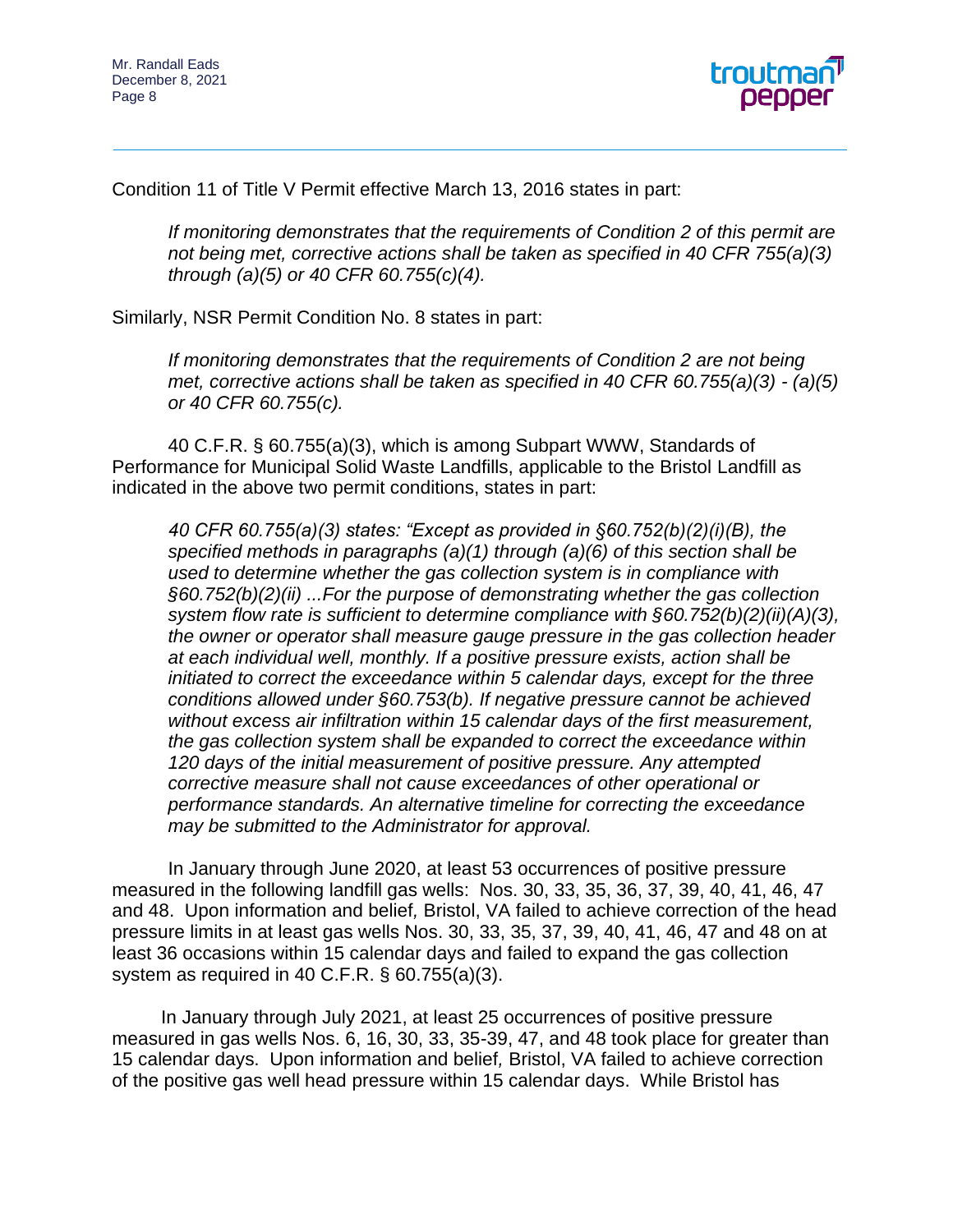

Condition 11 of Title V Permit effective March 13, 2016 states in part:

*If monitoring demonstrates that the requirements of Condition 2 of this permit are not being met, corrective actions shall be taken as specified in 40 CFR 755(a)(3) through (a)(5) or 40 CFR 60.755(c)(4).* 

Similarly, NSR Permit Condition No. 8 states in part:

*If monitoring demonstrates that the requirements of Condition 2 are not being met, corrective actions shall be taken as specified in 40 CFR 60.755(a)(3) - (a)(5) or 40 CFR 60.755(c).*

40 C.F.R. § 60.755(a)(3), which is among Subpart WWW, Standards of Performance for Municipal Solid Waste Landfills, applicable to the Bristol Landfill as indicated in the above two permit conditions, states in part:

*40 CFR 60.755(a)(3) states: "Except as provided in §60.752(b)(2)(i)(B), the specified methods in paragraphs (a)(1) through (a)(6) of this section shall be used to determine whether the gas collection system is in compliance with §60.752(b)(2)(ii) ...For the purpose of demonstrating whether the gas collection system flow rate is sufficient to determine compliance with §60.752(b)(2)(ii)(A)(3), the owner or operator shall measure gauge pressure in the gas collection header at each individual well, monthly. If a positive pressure exists, action shall be initiated to correct the exceedance within 5 calendar days, except for the three conditions allowed under §60.753(b). If negative pressure cannot be achieved without excess air infiltration within 15 calendar days of the first measurement, the gas collection system shall be expanded to correct the exceedance within 120 days of the initial measurement of positive pressure. Any attempted corrective measure shall not cause exceedances of other operational or performance standards. An alternative timeline for correcting the exceedance may be submitted to the Administrator for approval.*

In January through June 2020, at least 53 occurrences of positive pressure measured in the following landfill gas wells: Nos. 30, 33, 35, 36, 37, 39, 40, 41, 46, 47 and 48. Upon information and belief*,* Bristol, VA failed to achieve correction of the head pressure limits in at least gas wells Nos. 30, 33, 35, 37, 39, 40, 41, 46, 47 and 48 on at least 36 occasions within 15 calendar days and failed to expand the gas collection system as required in 40 C.F.R. § 60.755(a)(3).

In January through July 2021, at least 25 occurrences of positive pressure measured in gas wells Nos. 6, 16, 30, 33, 35-39, 47, and 48 took place for greater than 15 calendar days. Upon information and belief*,* Bristol, VA failed to achieve correction of the positive gas well head pressure within 15 calendar days. While Bristol has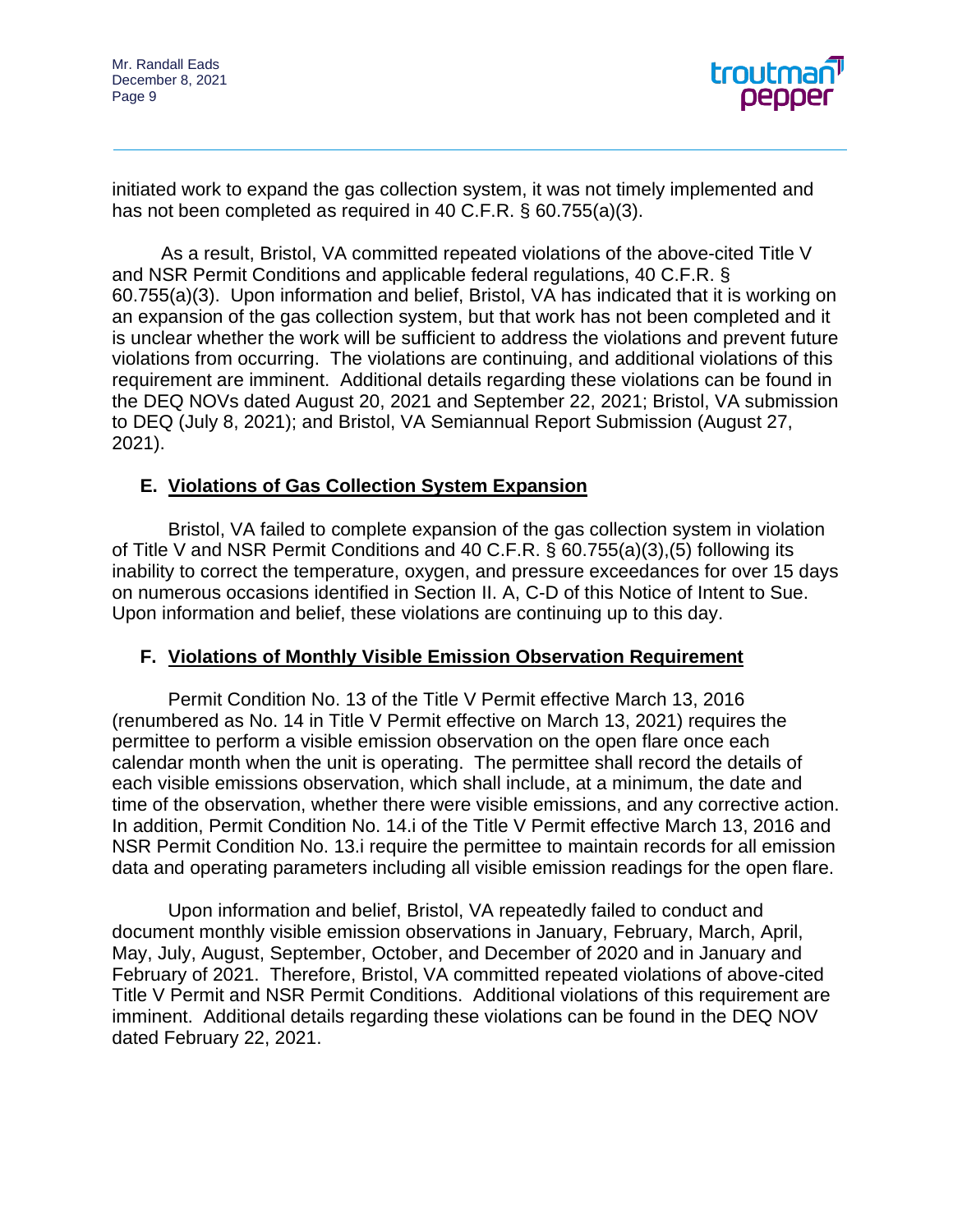

initiated work to expand the gas collection system, it was not timely implemented and has not been completed as required in 40 C.F.R. § 60.755(a)(3).

As a result, Bristol, VA committed repeated violations of the above-cited Title V and NSR Permit Conditions and applicable federal regulations, 40 C.F.R. § 60.755(a)(3). Upon information and belief, Bristol, VA has indicated that it is working on an expansion of the gas collection system, but that work has not been completed and it is unclear whether the work will be sufficient to address the violations and prevent future violations from occurring. The violations are continuing, and additional violations of this requirement are imminent. Additional details regarding these violations can be found in the DEQ NOVs dated August 20, 2021 and September 22, 2021; Bristol, VA submission to DEQ (July 8, 2021); and Bristol, VA Semiannual Report Submission (August 27, 2021).

## **E. Violations of Gas Collection System Expansion**

Bristol, VA failed to complete expansion of the gas collection system in violation of Title V and NSR Permit Conditions and 40 C.F.R. § 60.755(a)(3),(5) following its inability to correct the temperature, oxygen, and pressure exceedances for over 15 days on numerous occasions identified in Section II. A, C-D of this Notice of Intent to Sue. Upon information and belief, these violations are continuing up to this day.

## **F. Violations of Monthly Visible Emission Observation Requirement**

Permit Condition No. 13 of the Title V Permit effective March 13, 2016 (renumbered as No. 14 in Title V Permit effective on March 13, 2021) requires the permittee to perform a visible emission observation on the open flare once each calendar month when the unit is operating. The permittee shall record the details of each visible emissions observation, which shall include, at a minimum, the date and time of the observation, whether there were visible emissions, and any corrective action. In addition, Permit Condition No. 14.i of the Title V Permit effective March 13, 2016 and NSR Permit Condition No. 13.i require the permittee to maintain records for all emission data and operating parameters including all visible emission readings for the open flare.

Upon information and belief, Bristol, VA repeatedly failed to conduct and document monthly visible emission observations in January, February, March, April, May, July, August, September, October, and December of 2020 and in January and February of 2021. Therefore, Bristol, VA committed repeated violations of above-cited Title V Permit and NSR Permit Conditions. Additional violations of this requirement are imminent. Additional details regarding these violations can be found in the DEQ NOV dated February 22, 2021.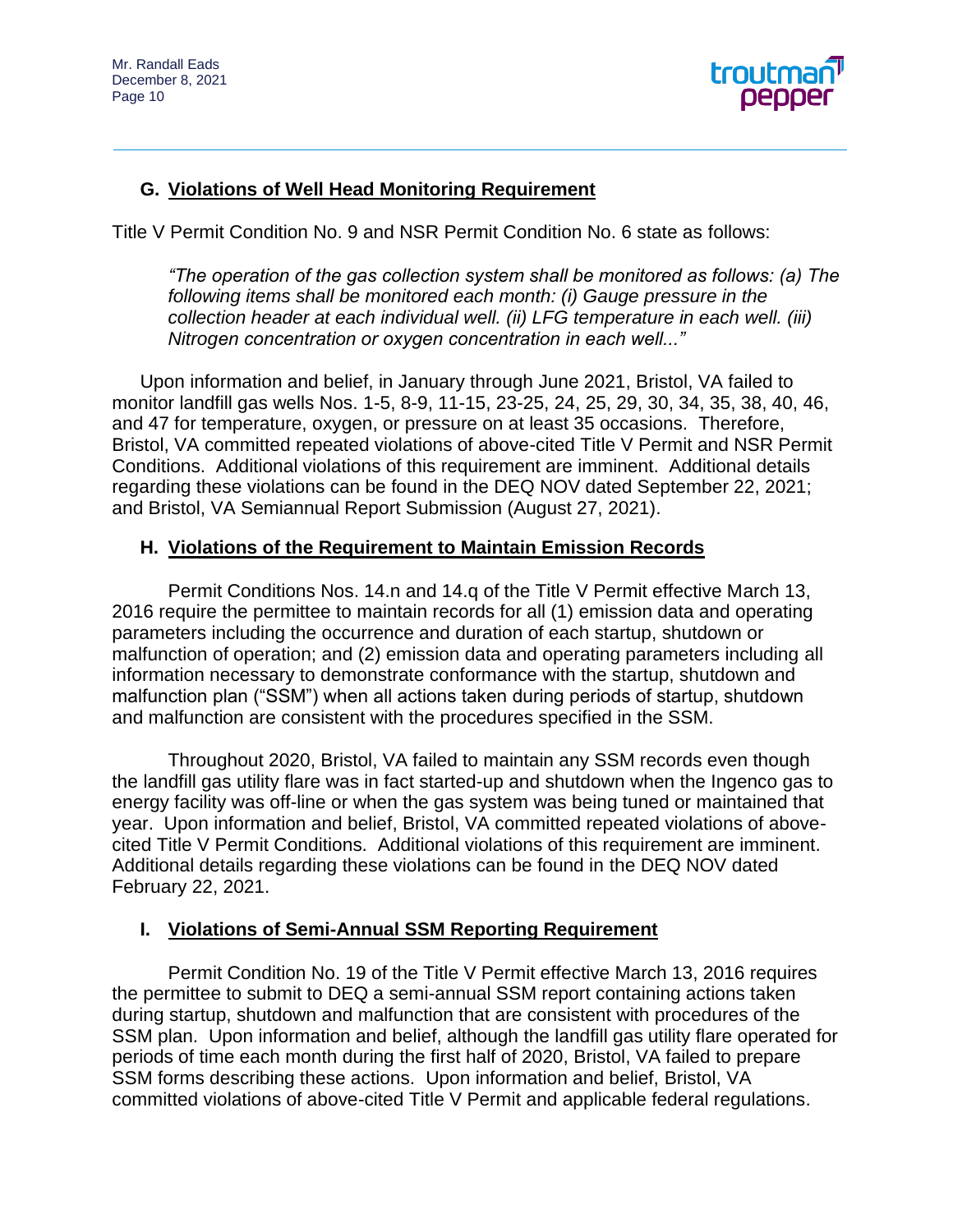

# **G. Violations of Well Head Monitoring Requirement**

Title V Permit Condition No. 9 and NSR Permit Condition No. 6 state as follows:

*"The operation of the gas collection system shall be monitored as follows: (a) The following items shall be monitored each month: (i) Gauge pressure in the collection header at each individual well. (ii) LFG temperature in each well. (iii) Nitrogen concentration or oxygen concentration in each well..."*

Upon information and belief, in January through June 2021, Bristol, VA failed to monitor landfill gas wells Nos. 1-5, 8-9, 11-15, 23-25, 24, 25, 29, 30, 34, 35, 38, 40, 46, and 47 for temperature, oxygen, or pressure on at least 35 occasions. Therefore, Bristol, VA committed repeated violations of above-cited Title V Permit and NSR Permit Conditions. Additional violations of this requirement are imminent. Additional details regarding these violations can be found in the DEQ NOV dated September 22, 2021; and Bristol, VA Semiannual Report Submission (August 27, 2021).

#### **H. Violations of the Requirement to Maintain Emission Records**

Permit Conditions Nos. 14.n and 14.q of the Title V Permit effective March 13, 2016 require the permittee to maintain records for all (1) emission data and operating parameters including the occurrence and duration of each startup, shutdown or malfunction of operation; and (2) emission data and operating parameters including all information necessary to demonstrate conformance with the startup, shutdown and malfunction plan ("SSM") when all actions taken during periods of startup, shutdown and malfunction are consistent with the procedures specified in the SSM.

Throughout 2020, Bristol, VA failed to maintain any SSM records even though the landfill gas utility flare was in fact started-up and shutdown when the Ingenco gas to energy facility was off-line or when the gas system was being tuned or maintained that year. Upon information and belief, Bristol, VA committed repeated violations of abovecited Title V Permit Conditions. Additional violations of this requirement are imminent. Additional details regarding these violations can be found in the DEQ NOV dated February 22, 2021.

## **I. Violations of Semi-Annual SSM Reporting Requirement**

Permit Condition No. 19 of the Title V Permit effective March 13, 2016 requires the permittee to submit to DEQ a semi-annual SSM report containing actions taken during startup, shutdown and malfunction that are consistent with procedures of the SSM plan. Upon information and belief, although the landfill gas utility flare operated for periods of time each month during the first half of 2020, Bristol, VA failed to prepare SSM forms describing these actions. Upon information and belief, Bristol, VA committed violations of above-cited Title V Permit and applicable federal regulations.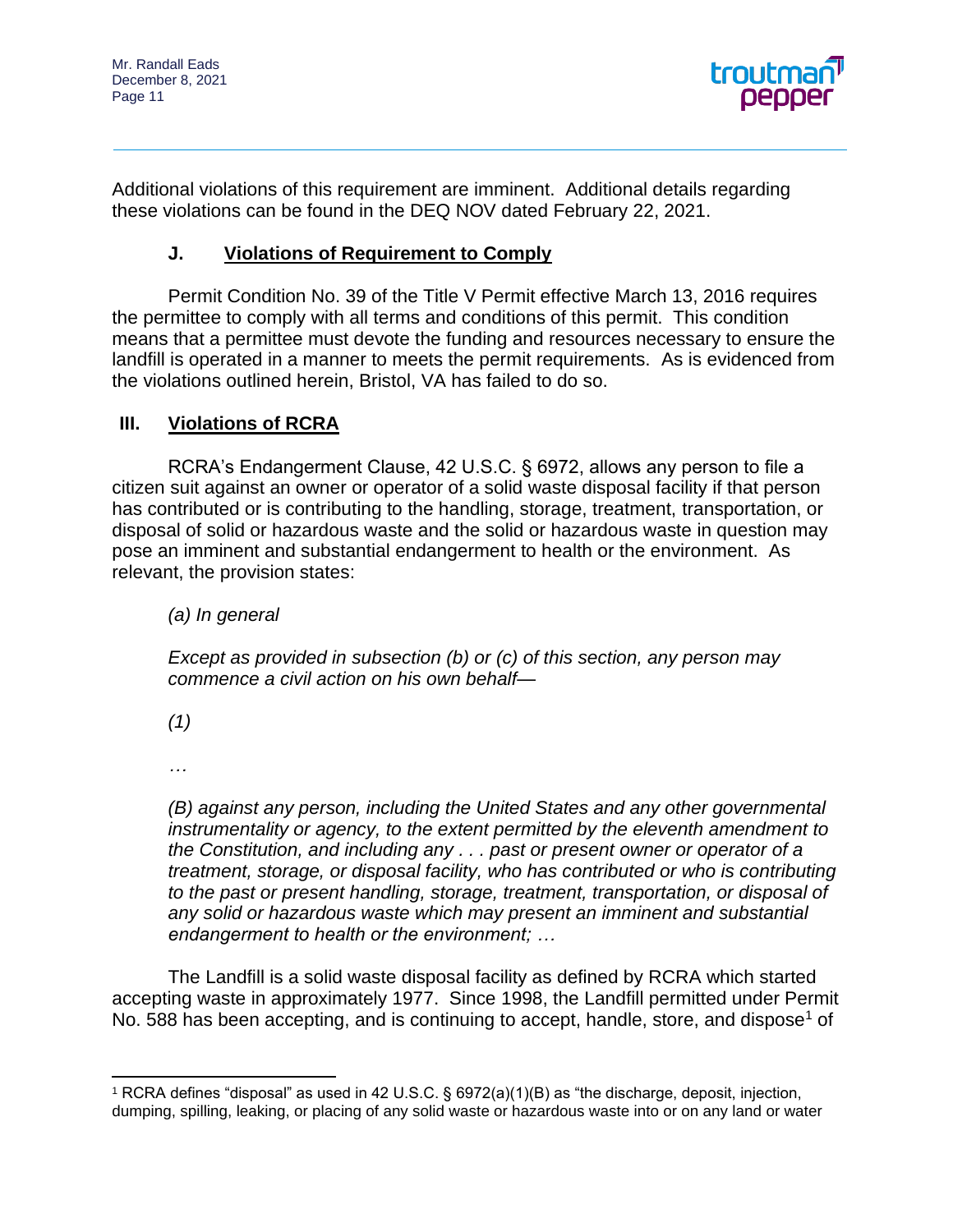

Additional violations of this requirement are imminent. Additional details regarding these violations can be found in the DEQ NOV dated February 22, 2021.

# **J. Violations of Requirement to Comply**

Permit Condition No. 39 of the Title V Permit effective March 13, 2016 requires the permittee to comply with all terms and conditions of this permit. This condition means that a permittee must devote the funding and resources necessary to ensure the landfill is operated in a manner to meets the permit requirements. As is evidenced from the violations outlined herein, Bristol, VA has failed to do so.

# **III. Violations of RCRA**

RCRA's Endangerment Clause, 42 U.S.C. § 6972, allows any person to file a citizen suit against an owner or operator of a solid waste disposal facility if that person has contributed or is contributing to the handling, storage, treatment, transportation, or disposal of solid or hazardous waste and the solid or hazardous waste in question may pose an imminent and substantial endangerment to health or the environment. As relevant, the provision states:

*(a) In general*

*Except as provided in subsection (b) or (c) of this section, any person may commence a civil action on his own behalf—*

*(1)*

*…*

*(B) against any person, including the United States and any other governmental instrumentality or agency, to the extent permitted by the eleventh amendment to the Constitution, and including any . . . past or present owner or operator of a treatment, storage, or disposal facility, who has contributed or who is contributing to the past or present handling, storage, treatment, transportation, or disposal of any solid or hazardous waste which may present an imminent and substantial endangerment to health or the environment; …*

The Landfill is a solid waste disposal facility as defined by RCRA which started accepting waste in approximately 1977. Since 1998, the Landfill permitted under Permit No. 588 has been accepting, and is continuing to accept, handle, store, and dispose<sup>1</sup> of

<sup>1</sup> RCRA defines "disposal" as used in 42 U.S.C. § 6972(a)(1)(B) as "the discharge, deposit, injection, dumping, spilling, leaking, or placing of any solid waste or hazardous waste into or on any land or water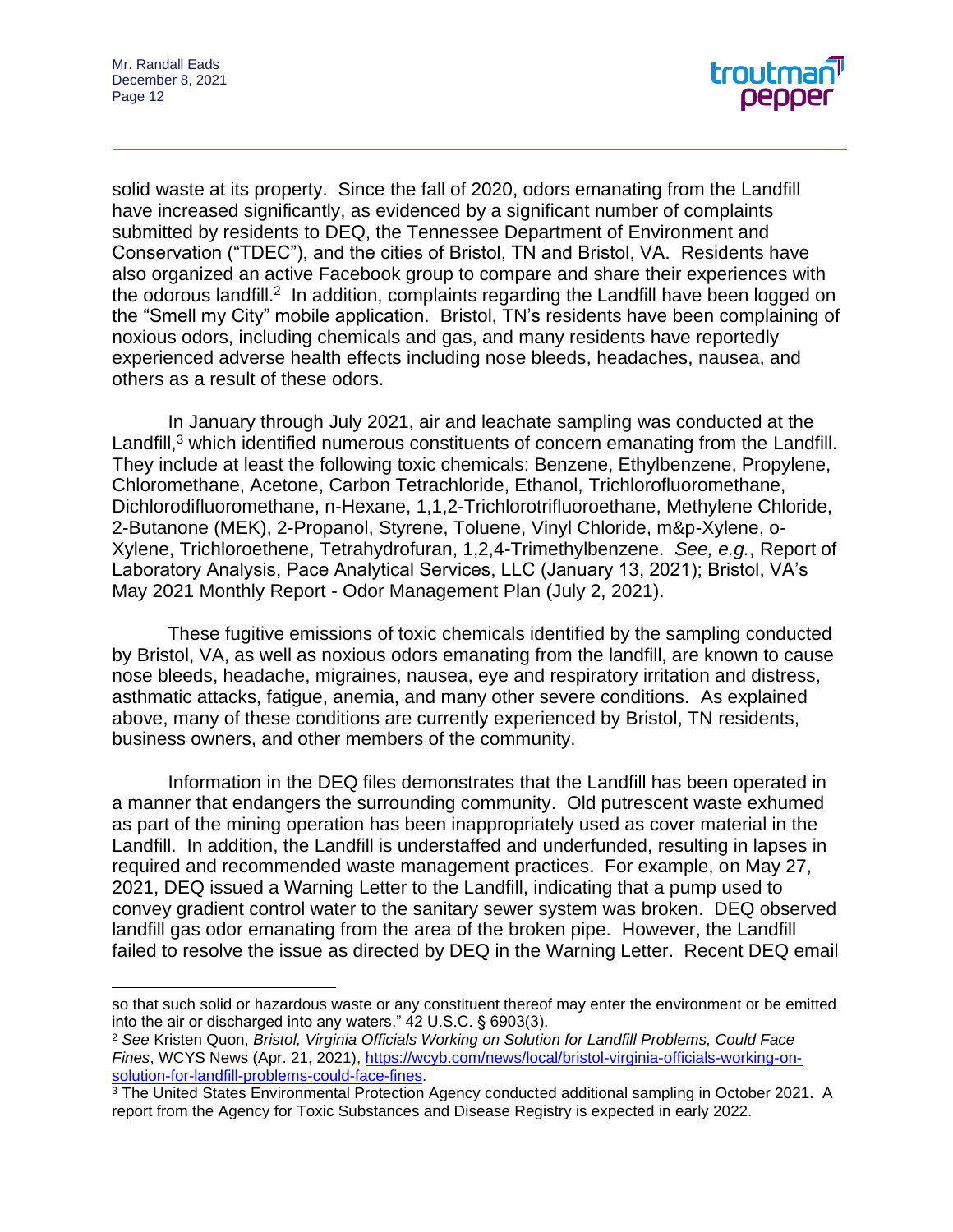

solid waste at its property. Since the fall of 2020, odors emanating from the Landfill have increased significantly, as evidenced by a significant number of complaints submitted by residents to DEQ, the Tennessee Department of Environment and Conservation ("TDEC"), and the cities of Bristol, TN and Bristol, VA. Residents have also organized an active Facebook group to compare and share their experiences with the odorous landfill.<sup>2</sup> In addition, complaints regarding the Landfill have been logged on the "Smell my City" mobile application. Bristol, TN's residents have been complaining of noxious odors, including chemicals and gas, and many residents have reportedly experienced adverse health effects including nose bleeds, headaches, nausea, and others as a result of these odors.

In January through July 2021, air and leachate sampling was conducted at the Landfill, $3$  which identified numerous constituents of concern emanating from the Landfill. They include at least the following toxic chemicals: Benzene, Ethylbenzene, Propylene, Chloromethane, Acetone, Carbon Tetrachloride, Ethanol, Trichlorofluoromethane, Dichlorodifluoromethane, n-Hexane, 1,1,2-Trichlorotrifluoroethane, Methylene Chloride, 2-Butanone (MEK), 2-Propanol, Styrene, Toluene, Vinyl Chloride, m&p-Xylene, o-Xylene, Trichloroethene, Tetrahydrofuran, 1,2,4-Trimethylbenzene. *See, e.g.*, Report of Laboratory Analysis, Pace Analytical Services, LLC (January 13, 2021); Bristol, VA's May 2021 Monthly Report - Odor Management Plan (July 2, 2021).

These fugitive emissions of toxic chemicals identified by the sampling conducted by Bristol, VA, as well as noxious odors emanating from the landfill, are known to cause nose bleeds, headache, migraines, nausea, eye and respiratory irritation and distress, asthmatic attacks, fatigue, anemia, and many other severe conditions. As explained above, many of these conditions are currently experienced by Bristol, TN residents, business owners, and other members of the community.

Information in the DEQ files demonstrates that the Landfill has been operated in a manner that endangers the surrounding community. Old putrescent waste exhumed as part of the mining operation has been inappropriately used as cover material in the Landfill. In addition, the Landfill is understaffed and underfunded, resulting in lapses in required and recommended waste management practices. For example, on May 27, 2021, DEQ issued a Warning Letter to the Landfill, indicating that a pump used to convey gradient control water to the sanitary sewer system was broken. DEQ observed landfill gas odor emanating from the area of the broken pipe. However, the Landfill failed to resolve the issue as directed by DEQ in the Warning Letter. Recent DEQ email

so that such solid or hazardous waste or any constituent thereof may enter the environment or be emitted into the air or discharged into any waters." 42 U.S.C. § 6903(3).

<sup>2</sup> *See* Kristen Quon, *Bristol, Virginia Officials Working on Solution for Landfill Problems, Could Face Fines*, WCYS News (Apr. 21, 2021), [https://wcyb.com/news/local/bristol-virginia-officials-working-on](https://wcyb.com/news/local/bristol-virginia-officials-working-on-solution-for-landfill-problems-could-face-fines)[solution-for-landfill-problems-could-face-fines.](https://wcyb.com/news/local/bristol-virginia-officials-working-on-solution-for-landfill-problems-could-face-fines)

<sup>&</sup>lt;sup>3</sup> The United States Environmental Protection Agency conducted additional sampling in October 2021. A report from the Agency for Toxic Substances and Disease Registry is expected in early 2022.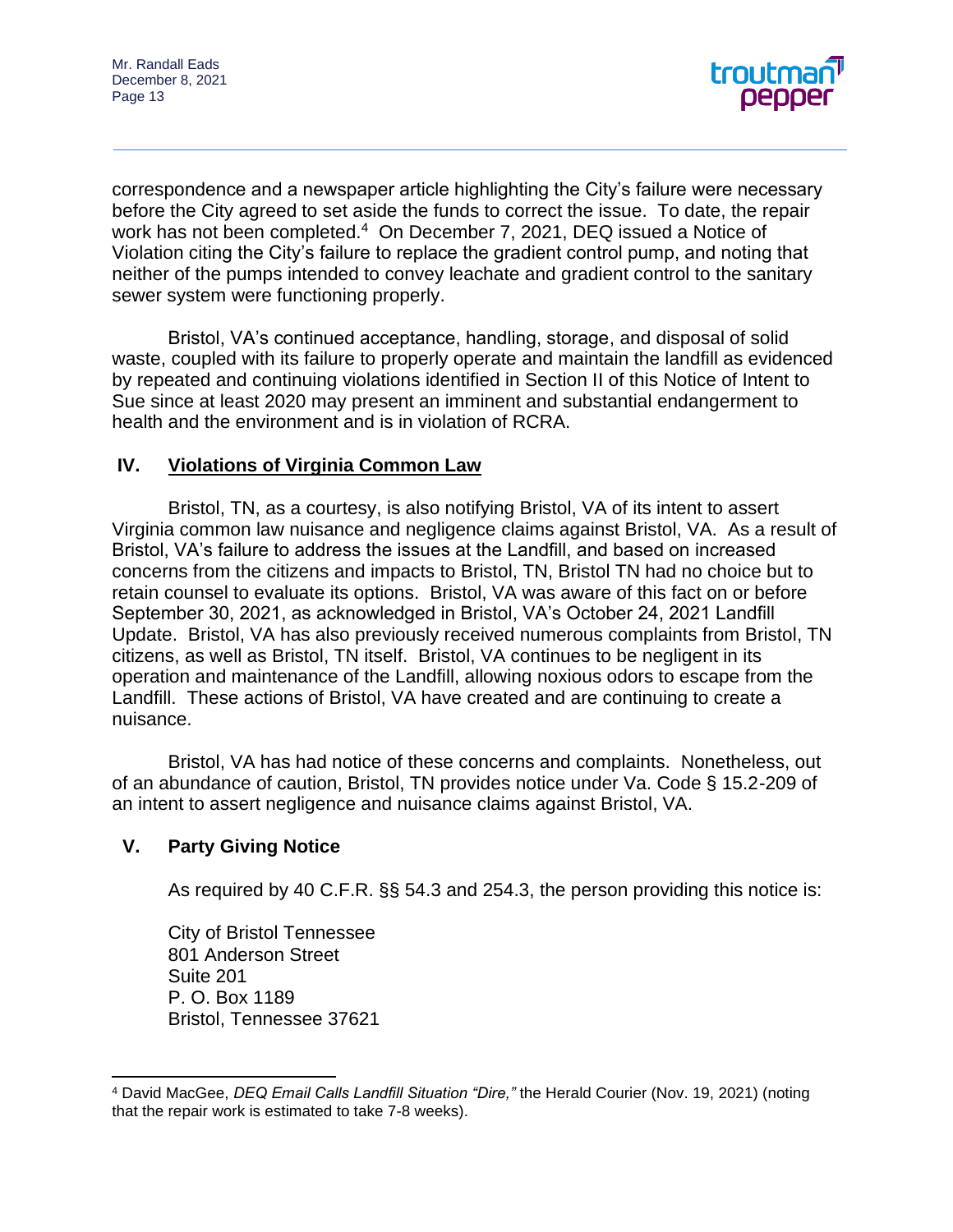

correspondence and a newspaper article highlighting the City's failure were necessary before the City agreed to set aside the funds to correct the issue. To date, the repair work has not been completed.<sup>4</sup> On December 7, 2021, DEQ issued a Notice of Violation citing the City's failure to replace the gradient control pump, and noting that neither of the pumps intended to convey leachate and gradient control to the sanitary sewer system were functioning properly.

Bristol, VA's continued acceptance, handling, storage, and disposal of solid waste, coupled with its failure to properly operate and maintain the landfill as evidenced by repeated and continuing violations identified in Section II of this Notice of Intent to Sue since at least 2020 may present an imminent and substantial endangerment to health and the environment and is in violation of RCRA.

## **IV. Violations of Virginia Common Law**

Bristol, TN, as a courtesy, is also notifying Bristol, VA of its intent to assert Virginia common law nuisance and negligence claims against Bristol, VA. As a result of Bristol, VA's failure to address the issues at the Landfill, and based on increased concerns from the citizens and impacts to Bristol, TN, Bristol TN had no choice but to retain counsel to evaluate its options. Bristol, VA was aware of this fact on or before September 30, 2021, as acknowledged in Bristol, VA's October 24, 2021 Landfill Update. Bristol, VA has also previously received numerous complaints from Bristol, TN citizens, as well as Bristol, TN itself. Bristol, VA continues to be negligent in its operation and maintenance of the Landfill, allowing noxious odors to escape from the Landfill. These actions of Bristol, VA have created and are continuing to create a nuisance.

Bristol, VA has had notice of these concerns and complaints. Nonetheless, out of an abundance of caution, Bristol, TN provides notice under Va. Code § 15.2-209 of an intent to assert negligence and nuisance claims against Bristol, VA.

## **V. Party Giving Notice**

As required by 40 C.F.R. §§ 54.3 and 254.3, the person providing this notice is:

City of Bristol Tennessee 801 Anderson Street Suite 201 P. O. Box 1189 Bristol, Tennessee 37621

<sup>4</sup> David MacGee, *DEQ Email Calls Landfill Situation "Dire,"* the Herald Courier (Nov. 19, 2021) (noting that the repair work is estimated to take 7-8 weeks).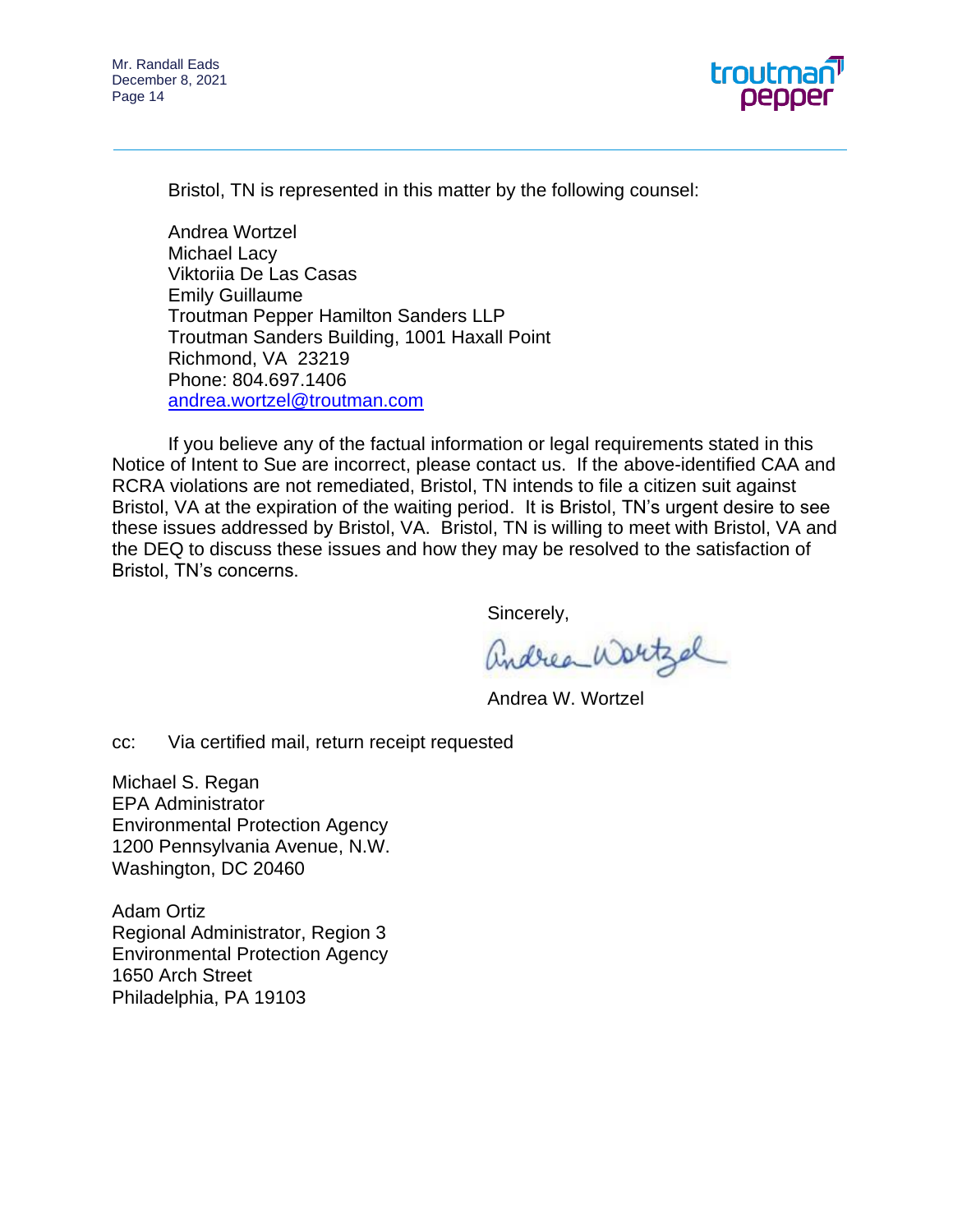

Bristol, TN is represented in this matter by the following counsel:

Andrea Wortzel Michael Lacy Viktoriia De Las Casas Emily Guillaume Troutman Pepper Hamilton Sanders LLP Troutman Sanders Building, 1001 Haxall Point Richmond, VA 23219 Phone: 804.697.1406 [andrea.wortzel@troutman.com](mailto:andrea.wortzel@troutman.com)

If you believe any of the factual information or legal requirements stated in this Notice of Intent to Sue are incorrect, please contact us. If the above-identified CAA and RCRA violations are not remediated, Bristol, TN intends to file a citizen suit against Bristol, VA at the expiration of the waiting period. It is Bristol, TN's urgent desire to see these issues addressed by Bristol, VA. Bristol, TN is willing to meet with Bristol, VA and the DEQ to discuss these issues and how they may be resolved to the satisfaction of Bristol, TN's concerns.

Sincerely,

andrea Wortzal

Andrea W. Wortzel

cc: Via certified mail, return receipt requested

Michael S. Regan EPA Administrator Environmental Protection Agency 1200 Pennsylvania Avenue, N.W. Washington, DC 20460

Adam Ortiz Regional Administrator, Region 3 Environmental Protection Agency 1650 Arch Street Philadelphia, PA 19103